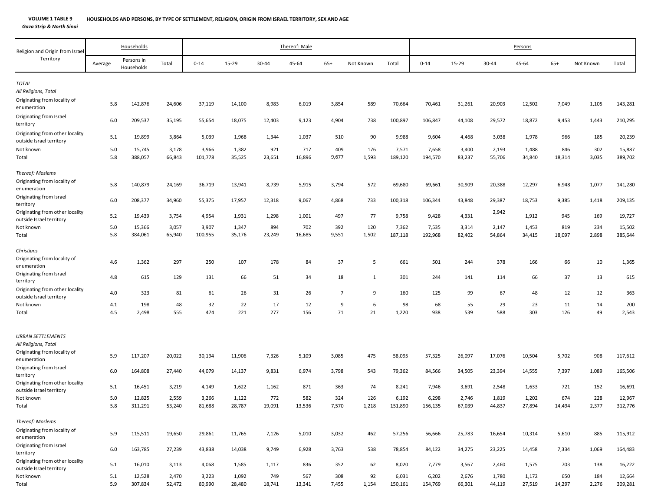*Gaza Strip & North Sinai*

| Religion and Origin from Israel                             |         | Households               |        |          |        |        | Thereof: Male |                |           |         |          |        |        | Persons |        |           |         |
|-------------------------------------------------------------|---------|--------------------------|--------|----------|--------|--------|---------------|----------------|-----------|---------|----------|--------|--------|---------|--------|-----------|---------|
| Territory                                                   | Average | Persons in<br>Households | Total  | $0 - 14$ | 15-29  | 30-44  | 45-64         | $65+$          | Not Known | Total   | $0 - 14$ | 15-29  | 30-44  | 45-64   | $65+$  | Not Known | Total   |
| <b>TOTAL</b>                                                |         |                          |        |          |        |        |               |                |           |         |          |        |        |         |        |           |         |
| All Religions, Total                                        |         |                          |        |          |        |        |               |                |           |         |          |        |        |         |        |           |         |
| Originating from locality of<br>enumeration                 | 5.8     | 142,876                  | 24,606 | 37,119   | 14,100 | 8,983  | 6,019         | 3,854          | 589       | 70,664  | 70,461   | 31,261 | 20,903 | 12,502  | 7,049  | 1,105     | 143,281 |
| Originating from Israel<br>territory                        | 6.0     | 209,537                  | 35,195 | 55,654   | 18,075 | 12,403 | 9,123         | 4,904          | 738       | 100,897 | 106,847  | 44,108 | 29,572 | 18,872  | 9,453  | 1,443     | 210,295 |
| Originating from other locality<br>outside Israel territory | 5.1     | 19,899                   | 3,864  | 5,039    | 1,968  | 1,344  | 1,037         | 510            | 90        | 9,988   | 9,604    | 4,468  | 3,038  | 1,978   | 966    | 185       | 20,239  |
| Not known                                                   | 5.0     | 15,745                   | 3,178  | 3,966    | 1,382  | 921    | 717           | 409            | 176       | 7,571   | 7,658    | 3,400  | 2,193  | 1,488   | 846    | 302       | 15,887  |
| Total                                                       | 5.8     | 388,057                  | 66,843 | 101,778  | 35,525 | 23,651 | 16,896        | 9,677          | 1,593     | 189,120 | 194,570  | 83,237 | 55,706 | 34,840  | 18,314 | 3,035     | 389,702 |
| Thereof: Moslems                                            |         |                          |        |          |        |        |               |                |           |         |          |        |        |         |        |           |         |
| Originating from locality of<br>enumeration                 | 5.8     | 140,879                  | 24,169 | 36,719   | 13,941 | 8,739  | 5,915         | 3,794          | 572       | 69,680  | 69,661   | 30,909 | 20,388 | 12,297  | 6,948  | 1,077     | 141,280 |
| Originating from Israel<br>territory                        | 6.0     | 208,377                  | 34,960 | 55,375   | 17,957 | 12,318 | 9,067         | 4,868          | 733       | 100,318 | 106,344  | 43,848 | 29,387 | 18,753  | 9,385  | 1,418     | 209,135 |
| Originating from other locality<br>outside Israel territory | 5.2     | 19,439                   | 3,754  | 4,954    | 1,931  | 1,298  | 1,001         | 497            | 77        | 9,758   | 9,428    | 4,331  | 2,942  | 1,912   | 945    | 169       | 19,727  |
| Not known                                                   | 5.0     | 15,366                   | 3,057  | 3,907    | 1,347  | 894    | 702           | 392            | 120       | 7,362   | 7,535    | 3,314  | 2,147  | 1,453   | 819    | 234       | 15,502  |
| Total                                                       | 5.8     | 384,061                  | 65,940 | 100,955  | 35,176 | 23,249 | 16,685        | 9,551          | 1,502     | 187,118 | 192,968  | 82,402 | 54,864 | 34,415  | 18,097 | 2,898     | 385,644 |
| Christians<br>Originating from locality of<br>enumeration   | 4.6     | 1,362                    | 297    | 250      | 107    | 178    | 84            | 37             | 5         | 661     | 501      | 244    | 378    | 166     | 66     | 10        | 1,365   |
| Originating from Israel<br>territory                        | 4.8     | 615                      | 129    | 131      | 66     | 51     | 34            | 18             | 1         | 301     | 244      | 141    | 114    | 66      | 37     | 13        | 615     |
| Originating from other locality<br>outside Israel territory | 4.0     | 323                      | 81     | 61       | 26     | 31     | 26            | $\overline{7}$ | 9         | 160     | 125      | 99     | 67     | 48      | 12     | 12        | 363     |
| Not known                                                   | 4.1     | 198                      | 48     | 32       | 22     | 17     | 12            | 9              | 6         | 98      | 68       | 55     | 29     | 23      | 11     | 14        | 200     |
| Total                                                       | 4.5     | 2,498                    | 555    | 474      | 221    | 277    | 156           | 71             | 21        | 1,220   | 938      | 539    | 588    | 303     | 126    | 49        | 2,543   |
| <b>URBAN SETTLEMENTS</b><br>All Religions, Total            |         |                          |        |          |        |        |               |                |           |         |          |        |        |         |        |           |         |
| Originating from locality of<br>enumeration                 | 5.9     | 117,207                  | 20,022 | 30,194   | 11,906 | 7,326  | 5,109         | 3,085          | 475       | 58,095  | 57,325   | 26,097 | 17,076 | 10,504  | 5,702  | 908       | 117,612 |
| Originating from Israel<br>territory                        | 6.0     | 164,808                  | 27,440 | 44,079   | 14,137 | 9,831  | 6,974         | 3,798          | 543       | 79,362  | 84,566   | 34,505 | 23,394 | 14,555  | 7,397  | 1,089     | 165,506 |
| Originating from other locality<br>outside Israel territory | 5.1     | 16,451                   | 3,219  | 4,149    | 1,622  | 1,162  | 871           | 363            | 74        | 8,241   | 7,946    | 3,691  | 2,548  | 1,633   | 721    | 152       | 16,691  |
| Not known                                                   | 5.0     | 12,825                   | 2,559  | 3,266    | 1,122  | 772    | 582           | 324            | 126       | 6,192   | 6,298    | 2,746  | 1,819  | 1,202   | 674    | 228       | 12,967  |
| Total                                                       | 5.8     | 311,291                  | 53,240 | 81,688   | 28,787 | 19,091 | 13,536        | 7,570          | 1,218     | 151,890 | 156,135  | 67,039 | 44,837 | 27,894  | 14,494 | 2,377     | 312,776 |
| Thereof: Moslems                                            |         |                          |        |          |        |        |               |                |           |         |          |        |        |         |        |           |         |
| Originating from locality of<br>enumeration                 | 5.9     | 115,511                  | 19,650 | 29,861   | 11,765 | 7,126  | 5,010         | 3,032          | 462       | 57,256  | 56,666   | 25,783 | 16,654 | 10,314  | 5,610  | 885       | 115,912 |
| Originating from Israel<br>territory                        | 6.0     | 163,785                  | 27,239 | 43,838   | 14,038 | 9,749  | 6,928         | 3,763          | 538       | 78,854  | 84,122   | 34,275 | 23,225 | 14,458  | 7,334  | 1,069     | 164,483 |
| Originating from other locality<br>outside Israel territory | 5.1     | 16,010                   | 3,113  | 4,068    | 1,585  | 1,117  | 836           | 352            | 62        | 8,020   | 7,779    | 3,567  | 2,460  | 1,575   | 703    | 138       | 16,222  |
| Not known                                                   | 5.1     | 12,528                   | 2,470  | 3,223    | 1,092  | 749    | 567           | 308            | 92        | 6,031   | 6,202    | 2,676  | 1,780  | 1,172   | 650    | 184       | 12,664  |
| Total                                                       | 5.9     | 307,834                  | 52,472 | 80,990   | 28,480 | 18,741 | 13,341        | 7,455          | 1,154     | 150,161 | 154,769  | 66,301 | 44,119 | 27,519  | 14,297 | 2,276     | 309,281 |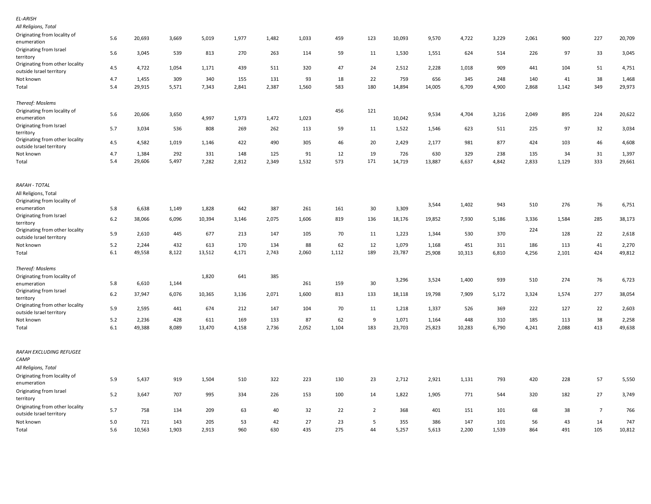| EL-ARISH<br>All Religions, Total                                         |            |               |              |              |           |           |           |           |                |              |              |              |              |           |           |                |               |
|--------------------------------------------------------------------------|------------|---------------|--------------|--------------|-----------|-----------|-----------|-----------|----------------|--------------|--------------|--------------|--------------|-----------|-----------|----------------|---------------|
| Originating from locality of<br>enumeration                              | 5.6        | 20,693        | 3,669        | 5,019        | 1,977     | 1,482     | 1,033     | 459       | 123            | 10,093       | 9,570        | 4,722        | 3,229        | 2,061     | 900       | 227            | 20,709        |
| Originating from Israel<br>territory                                     | 5.6        | 3,045         | 539          | 813          | 270       | 263       | 114       | 59        | 11             | 1,530        | 1,551        | 624          | 514          | 226       | 97        | 33             | 3,045         |
| Originating from other locality<br>outside Israel territory              | 4.5        | 4,722         | 1,054        | 1,171        | 439       | 511       | 320       | 47        | 24             | 2,512        | 2,228        | 1,018        | 909          | 441       | 104       | 51             | 4,751         |
| Not known                                                                | 4.7        | 1,455         | 309          | 340          | 155       | 131       | 93        | 18        | 22             | 759          | 656          | 345          | 248          | 140       | 41        | 38             | 1,468         |
| Total                                                                    | 5.4        | 29,915        | 5,571        | 7,343        | 2,841     | 2,387     | 1,560     | 583       | 180            | 14,894       | 14,005       | 6,709        | 4,900        | 2,868     | 1,142     | 349            | 29,973        |
| Thereof: Moslems                                                         |            |               |              |              |           |           |           |           |                |              |              |              |              |           |           |                |               |
| Originating from locality of<br>enumeration                              | 5.6        | 20,606        | 3,650        | 4,997        | 1,973     | 1,472     | 1,023     | 456       | 121            | 10,042       | 9,534        | 4,704        | 3,216        | 2,049     | 895       | 224            | 20,622        |
| Originating from Israel<br>territory                                     | 5.7        | 3,034         | 536          | 808          | 269       | 262       | 113       | 59        | 11             | 1,522        | 1,546        | 623          | 511          | 225       | 97        | 32             | 3,034         |
| Originating from other locality<br>outside Israel territory              | 4.5        | 4,582         | 1,019        | 1,146        | 422       | 490       | 305       | 46        | 20             | 2,429        | 2,177        | 981          | 877          | 424       | 103       | 46             | 4,608         |
| Not known                                                                | 4.7        | 1,384         | 292          | 331          | 148       | 125       | 91        | 12        | 19             | 726          | 630          | 329          | 238          | 135       | 34        | 31             | 1,397         |
| Total                                                                    | 5.4        | 29,606        | 5,497        | 7,282        | 2,812     | 2,349     | 1,532     | 573       | 171            | 14,719       | 13,887       | 6,637        | 4,842        | 2,833     | 1,129     | 333            | 29,661        |
| RAFAH - TOTAL                                                            |            |               |              |              |           |           |           |           |                |              |              |              |              |           |           |                |               |
| All Religions, Total<br>Originating from locality of                     |            |               |              |              |           |           |           |           |                |              |              |              |              |           |           |                |               |
| enumeration                                                              | 5.8        | 6,638         | 1,149        | 1,828        | 642       | 387       | 261       | 161       | 30             | 3,309        | 3,544        | 1,402        | 943          | 510       | 276       | 76             | 6,751         |
| Originating from Israel                                                  | $6.2$      | 38,066        | 6,096        | 10,394       | 3,146     | 2,075     | 1,606     | 819       | 136            | 18,176       | 19,852       | 7,930        | 5,186        | 3,336     | 1,584     | 285            | 38,173        |
| territory<br>Originating from other locality<br>outside Israel territory | 5.9        | 2,610         | 445          | 677          | 213       | 147       | 105       | 70        | 11             | 1,223        | 1,344        | 530          | 370          | 224       | 128       | 22             | 2,618         |
| Not known                                                                | 5.2        | 2,244         | 432          | 613          | 170       | 134       | 88        | 62        | 12             | 1,079        | 1,168        | 451          | 311          | 186       | 113       | 41             | 2,270         |
| Total                                                                    | 6.1        | 49,558        | 8,122        | 13,512       | 4,171     | 2,743     | 2,060     | 1,112     | 189            | 23,787       | 25,908       | 10,313       | 6,810        | 4,256     | 2,101     | 424            | 49,812        |
| Thereof: Moslems                                                         |            |               |              |              |           |           |           |           |                |              |              |              |              |           |           |                |               |
| Originating from locality of<br>enumeration                              | 5.8        | 6,610         | 1,144        | 1,820        | 641       | 385       | 261       | 159       | 30             | 3,296        | 3,524        | 1,400        | 939          | 510       | 274       | 76             | 6,723         |
| Originating from Israel<br>territory                                     | 6.2        | 37,947        | 6,076        | 10,365       | 3,136     | 2,071     | 1,600     | 813       | 133            | 18,118       | 19,798       | 7,909        | 5,172        | 3,324     | 1,574     | 277            | 38,054        |
| Originating from other locality<br>outside Israel territory              | 5.9        | 2,595         | 441          | 674          | 212       | 147       | 104       | 70        | 11             | 1,218        | 1,337        | 526          | 369          | 222       | 127       | 22             | 2,603         |
| Not known                                                                | 5.2        | 2,236         | 428          | 611          | 169       | 133       | 87        | 62        | 9              | 1,071        | 1,164        | 448          | 310          | 185       | 113       | 38             | 2,258         |
| Total                                                                    | 6.1        | 49,388        | 8,089        | 13,470       | 4,158     | 2,736     | 2,052     | 1,104     | 183            | 23,703       | 25,823       | 10,283       | 6,790        | 4,241     | 2,088     | 413            | 49,638        |
| RAFAH EXCLUDING REFUGEE<br>CAMP                                          |            |               |              |              |           |           |           |           |                |              |              |              |              |           |           |                |               |
| All Religions, Total<br>Originating from locality of                     |            |               |              |              |           |           |           |           |                |              |              |              |              |           |           |                |               |
| enumeration                                                              | 5.9        | 5,437         | 919          | 1,504        | 510       | 322       | 223       | 130       | 23             | 2,712        | 2,921        | 1,131        | 793          | 420       | 228       | 57             | 5,550         |
| Originating from Israel<br>territory                                     | 5.2        | 3,647         | 707          | 995          | 334       | 226       | 153       | 100       | 14             | 1,822        | 1,905        | 771          | 544          | 320       | 182       | 27             | 3,749         |
| Originating from other locality<br>outside Israel territory              | 5.7        | 758           | 134          | 209          | 63        | 40        | 32        | 22        | $\overline{2}$ | 368          | 401          | 151          | 101          | 68        | 38        | $\overline{7}$ | 766           |
| Not known<br>Total                                                       | 5.0<br>5.6 | 721<br>10,563 | 143<br>1,903 | 205<br>2,913 | 53<br>960 | 42<br>630 | 27<br>435 | 23<br>275 | 5<br>44        | 355<br>5,257 | 386<br>5,613 | 147<br>2,200 | 101<br>1,539 | 56<br>864 | 43<br>491 | 14<br>105      | 747<br>10,812 |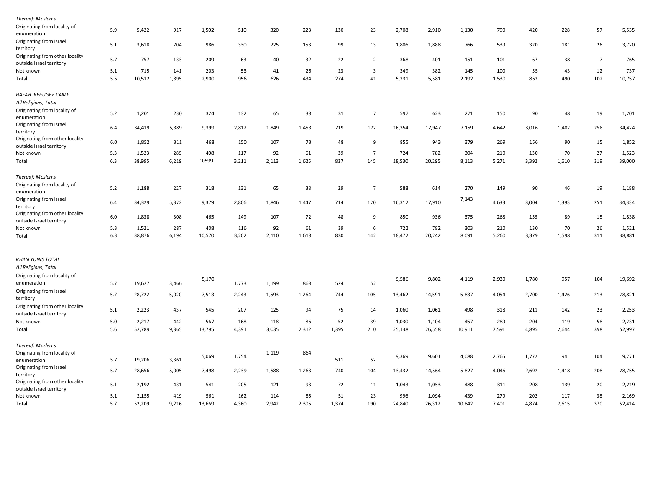| Thereof: Moslems                                            |       |        |       |        |       |       |       |       |                         |        |        |        |       |       |       |                |        |
|-------------------------------------------------------------|-------|--------|-------|--------|-------|-------|-------|-------|-------------------------|--------|--------|--------|-------|-------|-------|----------------|--------|
| Originating from locality of<br>enumeration                 | 5.9   | 5,422  | 917   | 1,502  | 510   | 320   | 223   | 130   | 23                      | 2,708  | 2,910  | 1,130  | 790   | 420   | 228   | 57             | 5,535  |
| Originating from Israel<br>territory                        | 5.1   | 3,618  | 704   | 986    | 330   | 225   | 153   | 99    | 13                      | 1,806  | 1,888  | 766    | 539   | 320   | 181   | 26             | 3,720  |
| Originating from other locality                             | 5.7   | 757    | 133   | 209    | 63    | 40    | 32    | 22    | $\overline{2}$          | 368    | 401    | 151    | 101   | 67    | 38    | $\overline{7}$ | 765    |
| outside Israel territory                                    |       |        |       |        |       |       |       |       |                         |        |        |        |       |       |       |                |        |
| Not known                                                   | 5.1   | 715    | 141   | 203    | 53    | 41    | 26    | 23    | $\overline{\mathbf{3}}$ | 349    | 382    | 145    | 100   | 55    | 43    | 12             | 737    |
| Total                                                       | 5.5   | 10,512 | 1,895 | 2,900  | 956   | 626   | 434   | 274   | 41                      | 5,231  | 5,581  | 2,192  | 1,530 | 862   | 490   | 102            | 10,757 |
| RAFAH REFUGEE CAMP                                          |       |        |       |        |       |       |       |       |                         |        |        |        |       |       |       |                |        |
| All Religions, Total                                        |       |        |       |        |       |       |       |       |                         |        |        |        |       |       |       |                |        |
| Originating from locality of<br>enumeration                 | 5.2   | 1,201  | 230   | 324    | 132   | 65    | 38    | 31    | $\overline{7}$          | 597    | 623    | 271    | 150   | 90    | 48    | 19             | 1,201  |
| Originating from Israel<br>territory                        | 6.4   | 34,419 | 5,389 | 9,399  | 2,812 | 1,849 | 1,453 | 719   | 122                     | 16,354 | 17,947 | 7,159  | 4,642 | 3,016 | 1,402 | 258            | 34,424 |
| Originating from other locality<br>outside Israel territory | 6.0   | 1,852  | 311   | 468    | 150   | 107   | 73    | 48    | 9                       | 855    | 943    | 379    | 269   | 156   | 90    | 15             | 1,852  |
| Not known                                                   | 5.3   | 1,523  | 289   | 408    | 117   | 92    | 61    | 39    | $\overline{7}$          | 724    | 782    | 304    | 210   | 130   | 70    | 27             | 1,523  |
| Total                                                       | 6.3   | 38,995 | 6,219 | 10599  | 3,211 | 2,113 | 1,625 | 837   | 145                     | 18,530 | 20,295 | 8,113  | 5,271 | 3,392 | 1,610 | 319            | 39,000 |
| Thereof: Moslems                                            |       |        |       |        |       |       |       |       |                         |        |        |        |       |       |       |                |        |
| Originating from locality of                                | 5.2   | 1,188  | 227   | 318    | 131   | 65    | 38    | 29    | $\overline{7}$          | 588    | 614    | 270    | 149   | 90    | 46    | 19             | 1,188  |
| enumeration                                                 |       |        |       |        |       |       |       |       |                         |        |        |        |       |       |       |                |        |
| Originating from Israel<br>territory                        | 6.4   | 34,329 | 5,372 | 9,379  | 2,806 | 1,846 | 1,447 | 714   | 120                     | 16,312 | 17,910 | 7,143  | 4,633 | 3,004 | 1,393 | 251            | 34,334 |
| Originating from other locality<br>outside Israel territory | 6.0   | 1,838  | 308   | 465    | 149   | 107   | 72    | 48    | 9                       | 850    | 936    | 375    | 268   | 155   | 89    | 15             | 1,838  |
| Not known                                                   | 5.3   | 1,521  | 287   | 408    | 116   | 92    | 61    | 39    | 6                       | 722    | 782    | 303    | 210   | 130   | 70    | 26             | 1,521  |
| Total                                                       | 6.3   | 38,876 | 6,194 | 10,570 | 3,202 | 2,110 | 1,618 | 830   | 142                     | 18,472 | 20,242 | 8,091  | 5,260 | 3,379 | 1,598 | 311            | 38,881 |
| KHAN YUNIS TOTAL                                            |       |        |       |        |       |       |       |       |                         |        |        |        |       |       |       |                |        |
| All Religions, Total                                        |       |        |       |        |       |       |       |       |                         |        |        |        |       |       |       |                |        |
| Originating from locality of                                |       |        |       |        |       |       |       |       |                         |        |        |        |       |       |       |                |        |
| enumeration                                                 | 5.7   | 19,627 | 3,466 | 5,170  | 1,773 | 1,199 | 868   | 524   | 52                      | 9,586  | 9,802  | 4,119  | 2,930 | 1,780 | 957   | 104            | 19,692 |
| Originating from Israel                                     |       |        |       |        |       |       |       |       |                         |        |        |        |       |       |       |                |        |
| territory                                                   | 5.7   | 28,722 | 5,020 | 7,513  | 2,243 | 1,593 | 1,264 | 744   | 105                     | 13,462 | 14,591 | 5,837  | 4,054 | 2,700 | 1,426 | 213            | 28,821 |
| Originating from other locality<br>outside Israel territory | 5.1   | 2,223  | 437   | 545    | 207   | 125   | 94    | 75    | 14                      | 1,060  | 1,061  | 498    | 318   | 211   | 142   | 23             | 2,253  |
| Not known                                                   | $5.0$ | 2,217  | 442   | 567    | 168   | 118   | 86    | 52    | 39                      | 1,030  | 1,104  | 457    | 289   | 204   | 119   | 58             | 2,231  |
| Total                                                       | 5.6   | 52,789 | 9,365 | 13,795 | 4,391 | 3,035 | 2,312 | 1,395 | 210                     | 25,138 | 26,558 | 10,911 | 7,591 | 4,895 | 2,644 | 398            | 52,997 |
| Thereof: Moslems                                            |       |        |       |        |       |       |       |       |                         |        |        |        |       |       |       |                |        |
| Originating from locality of                                |       |        |       | 5,069  | 1,754 | 1,119 | 864   |       |                         | 9,369  | 9,601  | 4,088  | 2,765 | 1,772 | 941   | 104            | 19,271 |
| enumeration                                                 | 5.7   | 19,206 | 3,361 |        |       |       |       | 511   | 52                      |        |        |        |       |       |       |                |        |
| Originating from Israel                                     | 5.7   | 28,656 | 5,005 | 7,498  | 2,239 | 1,588 | 1,263 | 740   | 104                     | 13,432 | 14,564 | 5,827  | 4,046 | 2,692 | 1,418 | 208            | 28,755 |
| territory                                                   |       |        |       |        |       |       |       |       |                         |        |        |        |       |       |       |                |        |
| Originating from other locality<br>outside Israel territory | 5.1   | 2,192  | 431   | 541    | 205   | 121   | 93    | 72    | 11                      | 1,043  | 1,053  | 488    | 311   | 208   | 139   | 20             | 2,219  |
| Not known                                                   | 5.1   | 2,155  | 419   | 561    | 162   | 114   | 85    | 51    | 23                      | 996    | 1,094  | 439    | 279   | 202   | 117   | 38             | 2,169  |
| Total                                                       | 5.7   | 52,209 | 9,216 | 13,669 | 4,360 | 2,942 | 2,305 | 1,374 | 190                     | 24,840 | 26,312 | 10,842 | 7,401 | 4,874 | 2,615 | 370            | 52,414 |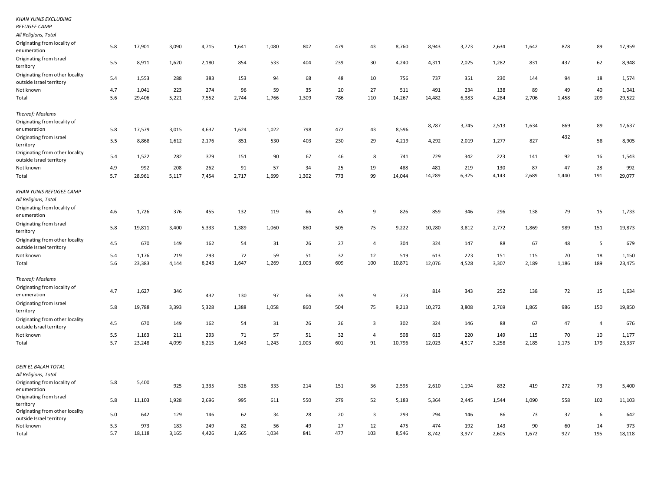| <b>REFUGEE CAMP</b>                                         |     |        |       |       |       |       |       |     |                |        |        |       |       |       |       |                |        |
|-------------------------------------------------------------|-----|--------|-------|-------|-------|-------|-------|-----|----------------|--------|--------|-------|-------|-------|-------|----------------|--------|
| All Religions, Total                                        |     |        |       |       |       |       |       |     |                |        |        |       |       |       |       |                |        |
| Originating from locality of<br>enumeration                 | 5.8 | 17,901 | 3,090 | 4,715 | 1,641 | 1,080 | 802   | 479 | 43             | 8,760  | 8,943  | 3,773 | 2,634 | 1,642 | 878   | 89             | 17,959 |
| Originating from Israel<br>territory                        | 5.5 | 8,911  | 1,620 | 2,180 | 854   | 533   | 404   | 239 | 30             | 4,240  | 4,311  | 2,025 | 1,282 | 831   | 437   | 62             | 8,948  |
| Originating from other locality<br>outside Israel territory | 5.4 | 1,553  | 288   | 383   | 153   | 94    | 68    | 48  | 10             | 756    | 737    | 351   | 230   | 144   | 94    | 18             | 1,574  |
| Not known                                                   | 4.7 | 1,041  | 223   | 274   | 96    | 59    | 35    | 20  | 27             | 511    | 491    | 234   | 138   | 89    | 49    | 40             | 1,041  |
| Total                                                       | 5.6 | 29,406 | 5,221 | 7,552 | 2,744 | 1,766 | 1,309 | 786 | 110            | 14,267 | 14,482 | 6,383 | 4,284 | 2,706 | 1,458 | 209            | 29,522 |
| Thereof: Moslems                                            |     |        |       |       |       |       |       |     |                |        |        |       |       |       |       |                |        |
| Originating from locality of                                |     |        |       |       |       |       |       |     |                |        | 8,787  | 3,745 | 2,513 | 1,634 | 869   | 89             | 17,637 |
| enumeration                                                 | 5.8 | 17,579 | 3,015 | 4,637 | 1,624 | 1,022 | 798   | 472 | 43             | 8,596  |        |       |       |       |       |                |        |
| Originating from Israel<br>territory                        | 5.5 | 8,868  | 1,612 | 2,176 | 851   | 530   | 403   | 230 | 29             | 4,219  | 4,292  | 2,019 | 1,277 | 827   | 432   | 58             | 8,905  |
| Originating from other locality<br>outside Israel territory | 5.4 | 1,522  | 282   | 379   | 151   | 90    | 67    | 46  | 8              | 741    | 729    | 342   | 223   | 141   | 92    | 16             | 1,543  |
| Not known                                                   | 4.9 | 992    | 208   | 262   | 91    | 57    | 34    | 25  | 19             | 488    | 481    | 219   | 130   | 87    | 47    | 28             | 992    |
| Total                                                       | 5.7 | 28,961 | 5,117 | 7,454 | 2,717 | 1,699 | 1,302 | 773 | 99             | 14,044 | 14,289 | 6,325 | 4,143 | 2,689 | 1,440 | 191            | 29,077 |
| <b>KHAN YUNIS REFUGEE CAMP</b><br>All Religions, Total      |     |        |       |       |       |       |       |     |                |        |        |       |       |       |       |                |        |
| Originating from locality of<br>enumeration                 | 4.6 | 1,726  | 376   | 455   | 132   | 119   | 66    | 45  | 9              | 826    | 859    | 346   | 296   | 138   | 79    | 15             | 1,733  |
| Originating from Israel<br>territory                        | 5.8 | 19,811 | 3,400 | 5,333 | 1,389 | 1,060 | 860   | 505 | 75             | 9,222  | 10,280 | 3,812 | 2,772 | 1,869 | 989   | 151            | 19,873 |
| Originating from other locality<br>outside Israel territory | 4.5 | 670    | 149   | 162   | 54    | 31    | 26    | 27  | $\overline{4}$ | 304    | 324    | 147   | 88    | 67    | 48    | 5              | 679    |
| Not known                                                   | 5.4 | 1,176  | 219   | 293   | 72    | 59    | 51    | 32  | 12             | 519    | 613    | 223   | 151   | 115   | 70    | 18             | 1,150  |
| Total                                                       | 5.6 | 23,383 | 4,144 | 6,243 | 1,647 | 1,269 | 1,003 | 609 | 100            | 10,871 | 12,076 | 4,528 | 3,307 | 2,189 | 1,186 | 189            | 23,475 |
| Thereof: Moslems                                            |     |        |       |       |       |       |       |     |                |        |        |       |       |       |       |                |        |
| Originating from locality of<br>enumeration                 | 4.7 | 1,627  | 346   | 432   | 130   | 97    | 66    | 39  | 9              | 773    | 814    | 343   | 252   | 138   | 72    | 15             | 1,634  |
| Originating from Israel<br>territory                        | 5.8 | 19,788 | 3,393 | 5,328 | 1,388 | 1,058 | 860   | 504 | 75             | 9,213  | 10,272 | 3,808 | 2,769 | 1,865 | 986   | 150            | 19,850 |
| Originating from other locality<br>outside Israel territory | 4.5 | 670    | 149   | 162   | 54    | 31    | 26    | 26  | 3              | 302    | 324    | 146   | 88    | 67    | 47    | $\overline{4}$ | 676    |
| Not known                                                   | 5.5 | 1,163  | 211   | 293   | 71    | 57    | 51    | 32  | $\overline{4}$ | 508    | 613    | 220   | 149   | 115   | 70    | 10             | 1,177  |
| Total                                                       | 5.7 | 23,248 | 4,099 | 6,215 | 1,643 | 1,243 | 1,003 | 601 | 91             | 10,796 | 12,023 | 4,517 | 3,258 | 2,185 | 1,175 | 179            | 23,337 |
| DEIR EL BALAH TOTAL                                         |     |        |       |       |       |       |       |     |                |        |        |       |       |       |       |                |        |
| All Religions, Total                                        |     |        |       |       |       |       |       |     |                |        |        |       |       |       |       |                |        |
| Originating from locality of<br>enumeration                 | 5.8 | 5,400  | 925   | 1,335 | 526   | 333   | 214   | 151 | 36             | 2,595  | 2,610  | 1,194 | 832   | 419   | 272   | 73             | 5,400  |
| Originating from Israel<br>territory                        | 5.8 | 11,103 | 1,928 | 2,696 | 995   | 611   | 550   | 279 | 52             | 5,183  | 5,364  | 2,445 | 1,544 | 1,090 | 558   | 102            | 11,103 |
| Originating from other locality<br>outside Israel territory | 5.0 | 642    | 129   | 146   | 62    | 34    | 28    | 20  | 3              | 293    | 294    | 146   | 86    | 73    | 37    | 6              | 642    |
| Not known                                                   | 5.3 | 973    | 183   | 249   | 82    | 56    | 49    | 27  | 12             | 475    | 474    | 192   | 143   | 90    | 60    | 14             | 973    |
| Total                                                       | 5.7 | 18,118 | 3,165 | 4,426 | 1,665 | 1,034 | 841   | 477 | 103            | 8,546  | 8,742  | 3,977 | 2,605 | 1,672 | 927   | 195            | 18,118 |

*KHAN YUNIS EXCLUDING*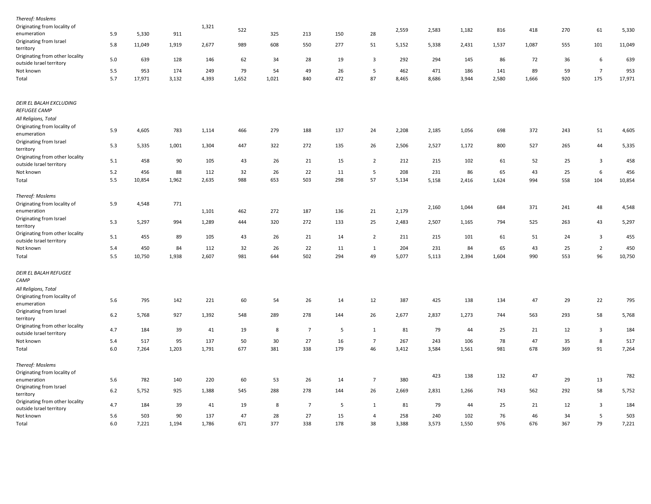| Thereof: Moslems                                            |       |        |       |       |       |       |                |     |                         |       |       |       |       |       |     |                         |        |
|-------------------------------------------------------------|-------|--------|-------|-------|-------|-------|----------------|-----|-------------------------|-------|-------|-------|-------|-------|-----|-------------------------|--------|
| Originating from locality of<br>enumeration                 | 5.9   | 5,330  | 911   | 1,321 | 522   | 325   | 213            | 150 | 28                      | 2,559 | 2,583 | 1,182 | 816   | 418   | 270 | 61                      | 5,330  |
| Originating from Israel<br>territory                        | 5.8   | 11,049 | 1,919 | 2,677 | 989   | 608   | 550            | 277 | 51                      | 5,152 | 5,338 | 2,431 | 1,537 | 1,087 | 555 | 101                     | 11,049 |
| Originating from other locality<br>outside Israel territory | 5.0   | 639    | 128   | 146   | 62    | 34    | 28             | 19  | $\overline{\mathbf{3}}$ | 292   | 294   | 145   | 86    | 72    | 36  | $\,$ 6                  | 639    |
| Not known                                                   | 5.5   | 953    | 174   | 249   | 79    | 54    | 49             | 26  | 5                       | 462   | 471   | 186   | 141   | 89    | 59  | $\overline{7}$          | 953    |
| Total                                                       | 5.7   | 17,971 | 3,132 | 4,393 | 1,652 | 1,021 | 840            | 472 | 87                      | 8,465 | 8,686 | 3,944 | 2,580 | 1,666 | 920 | 175                     | 17,971 |
| DEIR EL BALAH EXCLUDING<br>REFUGEE CAMP                     |       |        |       |       |       |       |                |     |                         |       |       |       |       |       |     |                         |        |
| All Religions, Total                                        |       |        |       |       |       |       |                |     |                         |       |       |       |       |       |     |                         |        |
| Originating from locality of<br>enumeration                 | 5.9   | 4,605  | 783   | 1,114 | 466   | 279   | 188            | 137 | 24                      | 2,208 | 2,185 | 1,056 | 698   | 372   | 243 | 51                      | 4,605  |
| Originating from Israel<br>territory                        | 5.3   | 5,335  | 1,001 | 1,304 | 447   | 322   | 272            | 135 | 26                      | 2,506 | 2,527 | 1,172 | 800   | 527   | 265 | 44                      | 5,335  |
| Originating from other locality<br>outside Israel territory | 5.1   | 458    | 90    | 105   | 43    | 26    | 21             | 15  | $\overline{2}$          | 212   | 215   | 102   | 61    | 52    | 25  | $\overline{\mathbf{3}}$ | 458    |
| Not known                                                   | 5.2   | 456    | 88    | 112   | 32    | 26    | 22             | 11  | 5                       | 208   | 231   | 86    | 65    | 43    | 25  | $\,$ 6                  | 456    |
| Total                                                       | 5.5   | 10,854 | 1,962 | 2,635 | 988   | 653   | 503            | 298 | 57                      | 5,134 | 5,158 | 2,416 | 1,624 | 994   | 558 | 104                     | 10,854 |
| Thereof: Moslems                                            |       |        |       |       |       |       |                |     |                         |       |       |       |       |       |     |                         |        |
| Originating from locality of<br>enumeration                 | 5.9   | 4,548  | 771   | 1,101 | 462   | 272   | 187            | 136 | 21                      | 2,179 | 2,160 | 1,044 | 684   | 371   | 241 | 48                      | 4,548  |
| Originating from Israel<br>territory                        | 5.3   | 5,297  | 994   | 1,289 | 444   | 320   | 272            | 133 | 25                      | 2,483 | 2,507 | 1,165 | 794   | 525   | 263 | 43                      | 5,297  |
| Originating from other locality<br>outside Israel territory | 5.1   | 455    | 89    | 105   | 43    | 26    | 21             | 14  | $\overline{2}$          | 211   | 215   | 101   | 61    | 51    | 24  | $\overline{\mathbf{3}}$ | 455    |
| Not known                                                   | 5.4   | 450    | 84    | 112   | 32    | 26    | 22             | 11  | 1                       | 204   | 231   | 84    | 65    | 43    | 25  | $\overline{2}$          | 450    |
| Total                                                       | 5.5   | 10,750 | 1,938 | 2,607 | 981   | 644   | 502            | 294 | 49                      | 5,077 | 5,113 | 2,394 | 1,604 | 990   | 553 | 96                      | 10,750 |
| DEIR EL BALAH REFUGEE<br>CAMP                               |       |        |       |       |       |       |                |     |                         |       |       |       |       |       |     |                         |        |
| All Religions, Total                                        |       |        |       |       |       |       |                |     |                         |       |       |       |       |       |     |                         |        |
| Originating from locality of<br>enumeration                 | 5.6   | 795    | 142   | 221   | 60    | 54    | 26             | 14  | 12                      | 387   | 425   | 138   | 134   | 47    | 29  | 22                      | 795    |
| Originating from Israel<br>territory                        | 6.2   | 5,768  | 927   | 1,392 | 548   | 289   | 278            | 144 | 26                      | 2,677 | 2,837 | 1,273 | 744   | 563   | 293 | 58                      | 5,768  |
| Originating from other locality<br>outside Israel territory | 4.7   | 184    | 39    | 41    | 19    | 8     | $\overline{7}$ | 5   | $\mathbf{1}$            | 81    | 79    | 44    | 25    | 21    | 12  | $\overline{\mathbf{3}}$ | 184    |
| Not known                                                   | 5.4   | 517    | 95    | 137   | 50    | 30    | 27             | 16  | $\overline{7}$          | 267   | 243   | 106   | 78    | 47    | 35  | 8                       | 517    |
| Total                                                       | 6.0   | 7,264  | 1,203 | 1,791 | 677   | 381   | 338            | 179 | 46                      | 3,412 | 3,584 | 1,561 | 981   | 678   | 369 | 91                      | 7,264  |
| Thereof: Moslems                                            |       |        |       |       |       |       |                |     |                         |       |       |       |       |       |     |                         |        |
| Originating from locality of                                |       |        |       |       |       |       |                |     |                         |       |       |       |       |       |     |                         |        |
| enumeration                                                 | 5.6   | 782    | 140   | 220   | 60    | 53    | 26             | 14  | $\overline{7}$          | 380   | 423   | 138   | 132   | 47    | 29  | 13                      | 782    |
| Originating from Israel                                     | $6.2$ | 5,752  | 925   | 1,388 | 545   | 288   | 278            | 144 | 26                      | 2,669 | 2,831 | 1,266 | 743   | 562   | 292 | 58                      | 5,752  |
| territory<br>Originating from other locality                | 4.7   | 184    | 39    | 41    | 19    | 8     | $\overline{7}$ | 5   | 1                       | 81    | 79    | 44    | 25    | 21    | 12  | $\overline{\mathbf{3}}$ | 184    |
| outside Israel territory<br>Not known                       | 5.6   | 503    | 90    | 137   | 47    | 28    | 27             | 15  | 4                       | 258   | 240   | 102   | 76    | 46    | 34  | 5                       | 503    |
| Total                                                       | 6.0   | 7,221  | 1,194 | 1,786 | 671   | 377   | 338            | 178 | 38                      | 3,388 | 3,573 | 1,550 | 976   | 676   | 367 | 79                      | 7,221  |
|                                                             |       |        |       |       |       |       |                |     |                         |       |       |       |       |       |     |                         |        |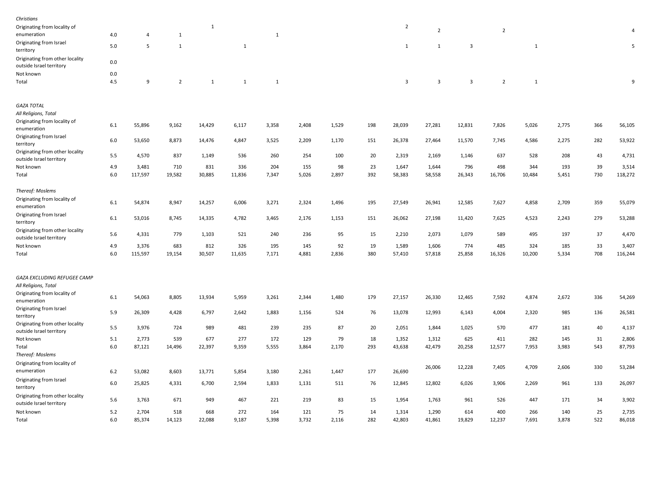| Christians                                                  |         |         |                |              |              |              |       |       |     |                |                |                         |                |              |       |     |            |
|-------------------------------------------------------------|---------|---------|----------------|--------------|--------------|--------------|-------|-------|-----|----------------|----------------|-------------------------|----------------|--------------|-------|-----|------------|
| Originating from locality of<br>enumeration                 | 4.0     | 4       | 1              | $\mathbf{1}$ |              | 1            |       |       |     | $\overline{2}$ | $\overline{2}$ |                         | $\overline{2}$ |              |       |     |            |
| Originating from Israel<br>territory                        | 5.0     | 5       | $\overline{1}$ |              | $\mathbf{1}$ |              |       |       |     | $\mathbf{1}$   | 1              | $\overline{\mathbf{3}}$ |                | $\mathbf{1}$ |       |     | $\sqrt{5}$ |
| Originating from other locality<br>outside Israel territory | 0.0     |         |                |              |              |              |       |       |     |                |                |                         |                |              |       |     |            |
| Not known                                                   | 0.0     |         |                |              |              |              |       |       |     |                |                |                         |                |              |       |     |            |
| Total                                                       | 4.5     | 9       | $\overline{2}$ | $\mathbf{1}$ | $\mathbf{1}$ | $\mathbf{1}$ |       |       |     | 3              | $\overline{3}$ | $\overline{3}$          | $\overline{2}$ | $\mathbf{1}$ |       |     | 9          |
| <b>GAZA TOTAL</b>                                           |         |         |                |              |              |              |       |       |     |                |                |                         |                |              |       |     |            |
| All Religions, Total                                        |         |         |                |              |              |              |       |       |     |                |                |                         |                |              |       |     |            |
| Originating from locality of<br>enumeration                 | 6.1     | 55,896  | 9,162          | 14,429       | 6,117        | 3,358        | 2,408 | 1,529 | 198 | 28,039         | 27,281         | 12,831                  | 7,826          | 5,026        | 2,775 | 366 | 56,105     |
| Originating from Israel<br>territory                        | $6.0\,$ | 53,650  | 8,873          | 14,476       | 4,847        | 3,525        | 2,209 | 1,170 | 151 | 26,378         | 27,464         | 11,570                  | 7,745          | 4,586        | 2,275 | 282 | 53,922     |
| Originating from other locality<br>outside Israel territory | 5.5     | 4,570   | 837            | 1,149        | 536          | 260          | 254   | 100   | 20  | 2,319          | 2,169          | 1,146                   | 637            | 528          | 208   | 43  | 4,731      |
| Not known                                                   | 4.9     | 3,481   | 710            | 831          | 336          | 204          | 155   | 98    | 23  | 1,647          | 1,644          | 796                     | 498            | 344          | 193   | 39  | 3,514      |
| Total                                                       | 6.0     | 117,597 | 19,582         | 30,885       | 11,836       | 7,347        | 5,026 | 2,897 | 392 | 58,383         | 58,558         | 26,343                  | 16,706         | 10,484       | 5,451 | 730 | 118,272    |
| Thereof: Moslems                                            |         |         |                |              |              |              |       |       |     |                |                |                         |                |              |       |     |            |
| Originating from locality of<br>enumeration                 | 6.1     | 54,874  | 8,947          | 14,257       | 6,006        | 3,271        | 2,324 | 1,496 | 195 | 27,549         | 26,941         | 12,585                  | 7,627          | 4,858        | 2,709 | 359 | 55,079     |
| Originating from Israel<br>territory                        | 6.1     | 53,016  | 8,745          | 14,335       | 4,782        | 3,465        | 2,176 | 1,153 | 151 | 26,062         | 27,198         | 11,420                  | 7,625          | 4,523        | 2,243 | 279 | 53,288     |
| Originating from other locality<br>outside Israel territory | 5.6     | 4,331   | 779            | 1,103        | 521          | 240          | 236   | 95    | 15  | 2,210          | 2,073          | 1,079                   | 589            | 495          | 197   | 37  | 4,470      |
| Not known                                                   | 4.9     | 3,376   | 683            | 812          | 326          | 195          | 145   | 92    | 19  | 1,589          | 1,606          | 774                     | 485            | 324          | 185   | 33  | 3,407      |
| Total                                                       | 6.0     | 115,597 | 19,154         | 30,507       | 11,635       | 7,171        | 4,881 | 2,836 | 380 | 57,410         | 57,818         | 25,858                  | 16,326         | 10,200       | 5,334 | 708 | 116,244    |
| GAZA EXCLUDING REFUGEE CAMP                                 |         |         |                |              |              |              |       |       |     |                |                |                         |                |              |       |     |            |
| All Religions, Total                                        |         |         |                |              |              |              |       |       |     |                |                |                         |                |              |       |     |            |
| Originating from locality of<br>enumeration                 | 6.1     | 54,063  | 8,805          | 13,934       | 5,959        | 3,261        | 2,344 | 1,480 | 179 | 27,157         | 26,330         | 12,465                  | 7,592          | 4,874        | 2,672 | 336 | 54,269     |
| Originating from Israel<br>territory                        | 5.9     | 26,309  | 4,428          | 6,797        | 2,642        | 1,883        | 1,156 | 524   | 76  | 13,078         | 12,993         | 6,143                   | 4,004          | 2,320        | 985   | 136 | 26,581     |
| Originating from other locality<br>outside Israel territory | 5.5     | 3,976   | 724            | 989          | 481          | 239          | 235   | 87    | 20  | 2,051          | 1,844          | 1,025                   | 570            | 477          | 181   | 40  | 4,137      |
| Not known                                                   | 5.1     | 2,773   | 539            | 677          | 277          | 172          | 129   | 79    | 18  | 1,352          | 1,312          | 625                     | 411            | 282          | 145   | 31  | 2,806      |
| Total                                                       | 6.0     | 87,121  | 14,496         | 22,397       | 9,359        | 5,555        | 3,864 | 2,170 | 293 | 43,638         | 42,479         | 20,258                  | 12,577         | 7,953        | 3,983 | 543 | 87,793     |
| Thereof: Moslems                                            |         |         |                |              |              |              |       |       |     |                |                |                         |                |              |       |     |            |
| Originating from locality of<br>enumeration                 | 6.2     | 53,082  | 8,603          | 13,771       | 5,854        | 3,180        | 2,261 | 1,447 | 177 | 26,690         | 26,006         | 12,228                  | 7,405          | 4,709        | 2,606 | 330 | 53,284     |
| Originating from Israel<br>territory                        | 6.0     | 25,825  | 4,331          | 6,700        | 2,594        | 1,833        | 1,131 | 511   | 76  | 12,845         | 12,802         | 6,026                   | 3,906          | 2,269        | 961   | 133 | 26,097     |
| Originating from other locality<br>outside Israel territory | 5.6     | 3,763   | 671            | 949          | 467          | 221          | 219   | 83    | 15  | 1,954          | 1,763          | 961                     | 526            | 447          | 171   | 34  | 3,902      |
| Not known                                                   | 5.2     | 2,704   | 518            | 668          | 272          | 164          | 121   | 75    | 14  | 1,314          | 1,290          | 614                     | 400            | 266          | 140   | 25  | 2,735      |
| Total                                                       | 6.0     | 85,374  | 14,123         | 22,088       | 9,187        | 5,398        | 3,732 | 2,116 | 282 | 42,803         | 41,861         | 19,829                  | 12,237         | 7,691        | 3,878 | 522 | 86,018     |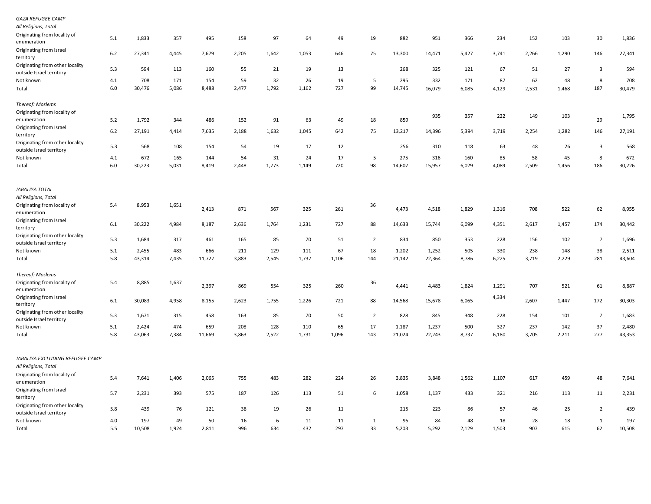| GAZA REFUGEE CAMP                                           |         |        |       |        |       |       |       |       |                |        |        |       |       |       |       |                         |        |
|-------------------------------------------------------------|---------|--------|-------|--------|-------|-------|-------|-------|----------------|--------|--------|-------|-------|-------|-------|-------------------------|--------|
| All Religions, Total                                        |         |        |       |        |       |       |       |       |                |        |        |       |       |       |       |                         |        |
| Originating from locality of<br>enumeration                 | 5.1     | 1,833  | 357   | 495    | 158   | 97    | 64    | 49    | 19             | 882    | 951    | 366   | 234   | 152   | 103   | 30                      | 1,836  |
| Originating from Israel<br>territory                        | 6.2     | 27,341 | 4,445 | 7,679  | 2,205 | 1,642 | 1,053 | 646   | 75             | 13,300 | 14,471 | 5,427 | 3,741 | 2,266 | 1,290 | 146                     | 27,341 |
| Originating from other locality<br>outside Israel territory | 5.3     | 594    | 113   | 160    | 55    | 21    | 19    | 13    |                | 268    | 325    | 121   | 67    | 51    | 27    | $\overline{\mathbf{3}}$ | 594    |
| Not known                                                   | 4.1     | 708    | 171   | 154    | 59    | 32    | 26    | 19    | 5              | 295    | 332    | 171   | 87    | 62    | 48    | 8                       | 708    |
| Total                                                       | 6.0     | 30,476 | 5,086 | 8,488  | 2,477 | 1,792 | 1,162 | 727   | 99             | 14,745 | 16,079 | 6,085 | 4,129 | 2,531 | 1,468 | 187                     | 30,479 |
| Thereof: Moslems                                            |         |        |       |        |       |       |       |       |                |        |        |       |       |       |       |                         |        |
| Originating from locality of                                |         |        |       |        |       |       |       |       |                |        | 935    | 357   | 222   | 149   | 103   |                         | 1,795  |
| enumeration                                                 | 5.2     | 1,792  | 344   | 486    | 152   | 91    | 63    | 49    | 18             | 859    |        |       |       |       |       | 29                      |        |
| Originating from Israel<br>territory                        | 6.2     | 27,191 | 4,414 | 7,635  | 2,188 | 1,632 | 1,045 | 642   | 75             | 13,217 | 14,396 | 5,394 | 3,719 | 2,254 | 1,282 | 146                     | 27,191 |
| Originating from other locality<br>outside Israel territory | 5.3     | 568    | 108   | 154    | 54    | 19    | 17    | 12    |                | 256    | 310    | 118   | 63    | 48    | 26    | $\overline{\mathbf{3}}$ | 568    |
| Not known                                                   | 4.1     | 672    | 165   | 144    | 54    | 31    | 24    | 17    | 5              | 275    | 316    | 160   | 85    | 58    | 45    | 8                       | 672    |
| Total                                                       | $6.0\,$ | 30,223 | 5,031 | 8,419  | 2,448 | 1,773 | 1,149 | 720   | 98             | 14,607 | 15,957 | 6,029 | 4,089 | 2,509 | 1,456 | 186                     | 30,226 |
| JABALIYA TOTAL                                              |         |        |       |        |       |       |       |       |                |        |        |       |       |       |       |                         |        |
| All Religions, Total                                        |         |        |       |        |       |       |       |       |                |        |        |       |       |       |       |                         |        |
| Originating from locality of<br>enumeration                 | 5.4     | 8,953  | 1,651 | 2,413  | 871   | 567   | 325   | 261   | 36             | 4,473  | 4,518  | 1,829 | 1,316 | 708   | 522   | 62                      | 8,955  |
| Originating from Israel<br>territory                        | 6.1     | 30,222 | 4,984 | 8,187  | 2,636 | 1,764 | 1,231 | 727   | 88             | 14,633 | 15,744 | 6,099 | 4,351 | 2,617 | 1,457 | 174                     | 30,442 |
| Originating from other locality<br>outside Israel territory | 5.3     | 1,684  | 317   | 461    | 165   | 85    | 70    | 51    | $\overline{2}$ | 834    | 850    | 353   | 228   | 156   | 102   | $\overline{7}$          | 1,696  |
| Not known                                                   | 5.1     | 2,455  | 483   | 666    | 211   | 129   | 111   | 67    | 18             | 1,202  | 1,252  | 505   | 330   | 238   | 148   | 38                      | 2,511  |
| Total                                                       | 5.8     | 43,314 | 7,435 | 11,727 | 3,883 | 2,545 | 1,737 | 1,106 | 144            | 21,142 | 22,364 | 8,786 | 6,225 | 3,719 | 2,229 | 281                     | 43,604 |
| Thereof: Moslems                                            |         |        |       |        |       |       |       |       |                |        |        |       |       |       |       |                         |        |
| Originating from locality of<br>enumeration                 | 5.4     | 8,885  | 1,637 | 2,397  | 869   | 554   | 325   | 260   | 36             | 4,441  | 4,483  | 1,824 | 1,291 | 707   | 521   | 61                      | 8,887  |
| Originating from Israel<br>territory                        | $6.1\,$ | 30,083 | 4,958 | 8,155  | 2,623 | 1,755 | 1,226 | 721   | 88             | 14,568 | 15,678 | 6,065 | 4,334 | 2,607 | 1,447 | 172                     | 30,303 |
| Originating from other locality<br>outside Israel territory | 5.3     | 1,671  | 315   | 458    | 163   | 85    | 70    | 50    | $\overline{2}$ | 828    | 845    | 348   | 228   | 154   | 101   | $\overline{7}$          | 1,683  |
| Not known                                                   | 5.1     | 2,424  | 474   | 659    | 208   | 128   | 110   | 65    | 17             | 1,187  | 1,237  | 500   | 327   | 237   | 142   | 37                      | 2,480  |
| Total                                                       | 5.8     | 43,063 | 7,384 | 11,669 | 3,863 | 2,522 | 1,731 | 1,096 | 143            | 21,024 | 22,243 | 8,737 | 6,180 | 3,705 | 2,211 | 277                     | 43,353 |
| JABALIYA EXCLUDING REFUGEE CAMP                             |         |        |       |        |       |       |       |       |                |        |        |       |       |       |       |                         |        |
| All Religions, Total                                        |         |        |       |        |       |       |       |       |                |        |        |       |       |       |       |                         |        |
| Originating from locality of<br>enumeration                 | 5.4     | 7,641  | 1,406 | 2,065  | 755   | 483   | 282   | 224   | 26             | 3,835  | 3,848  | 1,562 | 1,107 | 617   | 459   | 48                      | 7,641  |
| Originating from Israel<br>territory                        | 5.7     | 2,231  | 393   | 575    | 187   | 126   | 113   | 51    | 6              | 1,058  | 1,137  | 433   | 321   | 216   | 113   | 11                      | 2,231  |
| Originating from other locality<br>outside Israel territory | 5.8     | 439    | 76    | 121    | 38    | 19    | 26    | 11    |                | 215    | 223    | 86    | 57    | 46    | 25    | $\overline{2}$          | 439    |
| Not known                                                   | 4.0     | 197    | 49    | 50     | 16    | 6     | 11    | 11    | 1              | 95     | 84     | 48    | 18    | 28    | 18    | 1                       | 197    |
| Total                                                       | 5.5     | 10,508 | 1,924 | 2,811  | 996   | 634   | 432   | 297   | 33             | 5,203  | 5,292  | 2,129 | 1,503 | 907   | 615   | 62                      | 10,508 |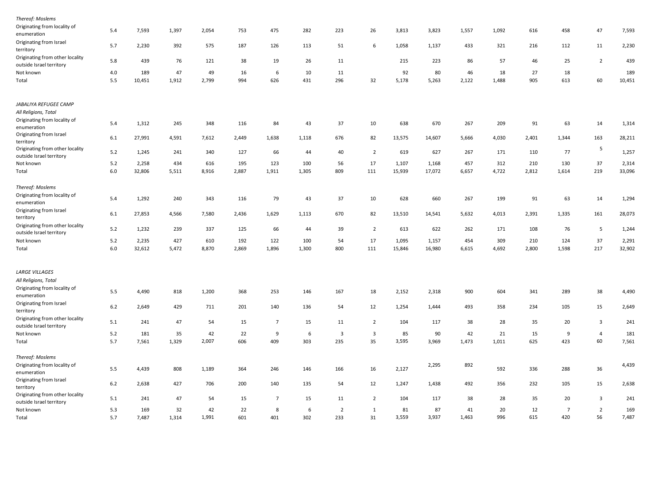| Thereof: Moslems                                            |     |        |       |       |       |                |       |                |                         |        |        |       |       |       |                |                         |        |
|-------------------------------------------------------------|-----|--------|-------|-------|-------|----------------|-------|----------------|-------------------------|--------|--------|-------|-------|-------|----------------|-------------------------|--------|
| Originating from locality of<br>enumeration                 | 5.4 | 7,593  | 1,397 | 2,054 | 753   | 475            | 282   | 223            | 26                      | 3,813  | 3,823  | 1,557 | 1,092 | 616   | 458            | 47                      | 7,593  |
| Originating from Israel<br>territory                        | 5.7 | 2,230  | 392   | 575   | 187   | 126            | 113   | 51             | 6                       | 1,058  | 1,137  | 433   | 321   | 216   | 112            | 11                      | 2,230  |
| Originating from other locality<br>outside Israel territory | 5.8 | 439    | 76    | 121   | 38    | 19             | 26    | 11             |                         | 215    | 223    | 86    | 57    | 46    | 25             | $\overline{2}$          | 439    |
| Not known                                                   | 4.0 | 189    | 47    | 49    | 16    | 6              | 10    | 11             |                         | 92     | 80     | 46    | 18    | 27    | 18             |                         | 189    |
| Total                                                       | 5.5 | 10,451 | 1,912 | 2,799 | 994   | 626            | 431   | 296            | 32                      | 5,178  | 5,263  | 2,122 | 1,488 | 905   | 613            | 60                      | 10,451 |
| JABALIYA REFUGEE CAMP                                       |     |        |       |       |       |                |       |                |                         |        |        |       |       |       |                |                         |        |
| All Religions, Total                                        |     |        |       |       |       |                |       |                |                         |        |        |       |       |       |                |                         |        |
| Originating from locality of<br>enumeration                 | 5.4 | 1,312  | 245   | 348   | 116   | 84             | 43    | 37             | 10                      | 638    | 670    | 267   | 209   | 91    | 63             | 14                      | 1,314  |
| Originating from Israel<br>territory                        | 6.1 | 27,991 | 4,591 | 7,612 | 2,449 | 1,638          | 1,118 | 676            | 82                      | 13,575 | 14,607 | 5,666 | 4,030 | 2,401 | 1,344          | 163                     | 28,211 |
| Originating from other locality                             | 5.2 | 1,245  | 241   | 340   | 127   | 66             | 44    | 40             | $\overline{2}$          | 619    | 627    | 267   | 171   | 110   | 77             | 5                       | 1,257  |
| outside Israel territory<br>Not known                       | 5.2 | 2,258  | 434   | 616   | 195   | 123            | 100   | 56             | 17                      | 1,107  | 1,168  | 457   | 312   | 210   | 130            | 37                      | 2,314  |
| Total                                                       | 6.0 | 32,806 | 5,511 | 8,916 | 2,887 | 1,911          | 1,305 | 809            | 111                     | 15,939 | 17,072 | 6,657 | 4,722 | 2,812 | 1,614          | 219                     | 33,096 |
| Thereof: Moslems                                            |     |        |       |       |       |                |       |                |                         |        |        |       |       |       |                |                         |        |
| Originating from locality of<br>enumeration                 | 5.4 | 1,292  | 240   | 343   | 116   | 79             | 43    | 37             | 10                      | 628    | 660    | 267   | 199   | 91    | 63             | 14                      | 1,294  |
| Originating from Israel<br>territory                        | 6.1 | 27,853 | 4,566 | 7,580 | 2,436 | 1,629          | 1,113 | 670            | 82                      | 13,510 | 14,541 | 5,632 | 4,013 | 2,391 | 1,335          | 161                     | 28,073 |
| Originating from other locality<br>outside Israel territory | 5.2 | 1,232  | 239   | 337   | 125   | 66             | 44    | 39             | $\overline{2}$          | 613    | 622    | 262   | 171   | 108   | 76             | 5                       | 1,244  |
| Not known                                                   | 5.2 | 2,235  | 427   | 610   | 192   | 122            | 100   | 54             | 17                      | 1,095  | 1,157  | 454   | 309   | 210   | 124            | 37                      | 2,291  |
| Total                                                       | 6.0 | 32,612 | 5,472 | 8,870 | 2,869 | 1,896          | 1,300 | 800            | 111                     | 15,846 | 16,980 | 6,615 | 4,692 | 2,800 | 1,598          | 217                     | 32,902 |
| <b>LARGE VILLAGES</b>                                       |     |        |       |       |       |                |       |                |                         |        |        |       |       |       |                |                         |        |
| All Religions, Total                                        |     |        |       |       |       |                |       |                |                         |        |        |       |       |       |                |                         |        |
| Originating from locality of<br>enumeration                 | 5.5 | 4,490  | 818   | 1,200 | 368   | 253            | 146   | 167            | 18                      | 2,152  | 2,318  | 900   | 604   | 341   | 289            | 38                      | 4,490  |
| Originating from Israel<br>territory                        | 6.2 | 2,649  | 429   | 711   | 201   | 140            | 136   | 54             | 12                      | 1,254  | 1,444  | 493   | 358   | 234   | 105            | 15                      | 2,649  |
| Originating from other locality<br>outside Israel territory | 5.1 | 241    | 47    | 54    | 15    | $\overline{7}$ | 15    | 11             | $\overline{2}$          | 104    | 117    | 38    | 28    | 35    | 20             | $\overline{\mathbf{3}}$ | 241    |
| Not known                                                   | 5.2 | 181    | 35    | 42    | 22    | 9              | 6     | $\overline{3}$ | $\overline{\mathbf{3}}$ | 85     | 90     | 42    | 21    | 15    | 9              | $\overline{4}$          | 181    |
| Total                                                       | 5.7 | 7,561  | 1,329 | 2,007 | 606   | 409            | 303   | 235            | 35                      | 3,595  | 3,969  | 1,473 | 1,011 | 625   | 423            | 60                      | 7,561  |
| Thereof: Moslems                                            |     |        |       |       |       |                |       |                |                         |        |        |       |       |       |                |                         |        |
| Originating from locality of<br>enumeration                 | 5.5 | 4,439  | 808   | 1,189 | 364   | 246            | 146   | 166            | 16                      | 2,127  | 2,295  | 892   | 592   | 336   | 288            | 36                      | 4,439  |
| Originating from Israel<br>territory                        | 6.2 | 2,638  | 427   | 706   | 200   | 140            | 135   | 54             | 12                      | 1,247  | 1,438  | 492   | 356   | 232   | 105            | 15                      | 2,638  |
| Originating from other locality<br>outside Israel territory | 5.1 | 241    | 47    | 54    | 15    | $\overline{7}$ | 15    | 11             | $\overline{2}$          | 104    | 117    | 38    | 28    | 35    | 20             | $\overline{\mathbf{3}}$ | 241    |
| Not known                                                   | 5.3 | 169    | 32    | 42    | 22    | 8              | 6     | $\overline{2}$ | 1                       | 81     | 87     | 41    | 20    | 12    | $\overline{7}$ | $\overline{2}$          | 169    |
| Total                                                       | 5.7 | 7,487  | 1,314 | 1,991 | 601   | 401            | 302   | 233            | 31                      | 3,559  | 3,937  | 1,463 | 996   | 615   | 420            | 56                      | 7,487  |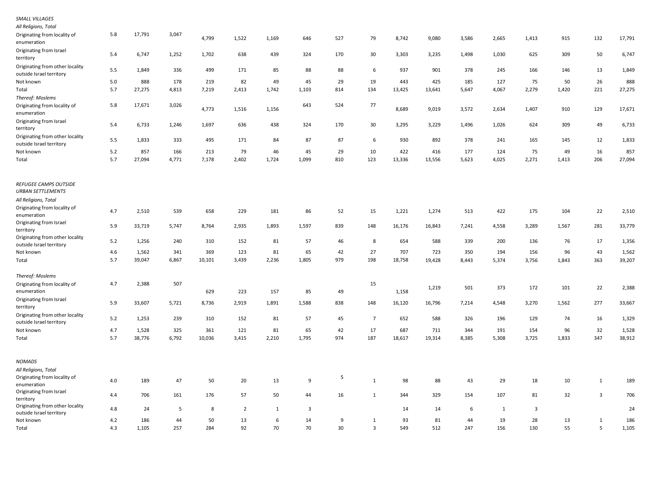| SMALL VILLAGES                                                            |     |        |       |        |                |              |       |     |                |        |        |       |       |       |       |                |        |
|---------------------------------------------------------------------------|-----|--------|-------|--------|----------------|--------------|-------|-----|----------------|--------|--------|-------|-------|-------|-------|----------------|--------|
| All Religions, Total                                                      |     |        |       |        |                |              |       |     |                |        |        |       |       |       |       |                |        |
| Originating from locality of<br>enumeration                               | 5.8 | 17,791 | 3,047 | 4,799  | 1,522          | 1,169        | 646   | 527 | 79             | 8,742  | 9,080  | 3,586 | 2,665 | 1,413 | 915   | 132            | 17,791 |
| Originating from Israel<br>territory                                      | 5.4 | 6,747  | 1,252 | 1,702  | 638            | 439          | 324   | 170 | 30             | 3,303  | 3,235  | 1,498 | 1,030 | 625   | 309   | 50             | 6,747  |
| Originating from other locality<br>outside Israel territory               | 5.5 | 1,849  | 336   | 499    | 171            | 85           | 88    | 88  | 6              | 937    | 901    | 378   | 245   | 166   | 146   | 13             | 1,849  |
| Not known                                                                 | 5.0 | 888    | 178   | 219    | 82             | 49           | 45    | 29  | 19             | 443    | 425    | 185   | 127   | 75    | 50    | 26             | 888    |
| Total                                                                     | 5.7 | 27,275 | 4,813 | 7,219  | 2,413          | 1,742        | 1,103 | 814 | 134            | 13,425 | 13,641 | 5,647 | 4,067 | 2,279 | 1,420 | 221            | 27,275 |
| Thereof: Moslems                                                          |     |        |       |        |                |              |       |     |                |        |        |       |       |       |       |                |        |
| Originating from locality of<br>enumeration                               | 5.8 | 17,671 | 3,026 | 4,773  | 1,516          | 1,156        | 643   | 524 | 77             | 8,689  | 9,019  | 3,572 | 2,634 | 1,407 | 910   | 129            | 17,671 |
| Originating from Israel<br>territory                                      | 5.4 | 6,733  | 1,246 | 1,697  | 636            | 438          | 324   | 170 | 30             | 3,295  | 3,229  | 1,496 | 1,026 | 624   | 309   | 49             | 6,733  |
| Originating from other locality<br>outside Israel territory               | 5.5 | 1,833  | 333   | 495    | 171            | 84           | 87    | 87  | 6              | 930    | 892    | 378   | 241   | 165   | 145   | 12             | 1,833  |
| Not known                                                                 | 5.2 | 857    | 166   | 213    | 79             | 46           | 45    | 29  | 10             | 422    | 416    | 177   | 124   | 75    | 49    | 16             | 857    |
| Total                                                                     | 5.7 | 27,094 | 4,771 | 7,178  | 2,402          | 1,724        | 1,099 | 810 | 123            | 13,336 | 13,556 | 5,623 | 4,025 | 2,271 | 1,413 | 206            | 27,094 |
| REFUGEE CAMPS OUTSIDE<br><b>URBAN SETTLEMENTS</b><br>All Religions, Total |     |        |       |        |                |              |       |     |                |        |        |       |       |       |       |                |        |
| Originating from locality of                                              |     |        |       |        |                |              |       |     |                |        |        |       |       |       |       |                |        |
| enumeration                                                               | 4.7 | 2,510  | 539   | 658    | 229            | 181          | 86    | 52  | 15             | 1,221  | 1,274  | 513   | 422   | 175   | 104   | 22             | 2,510  |
| Originating from Israel<br>territory                                      | 5.9 | 33,719 | 5,747 | 8,764  | 2,935          | 1,893        | 1,597 | 839 | 148            | 16,176 | 16,843 | 7,241 | 4,558 | 3,289 | 1,567 | 281            | 33,779 |
| Originating from other locality<br>outside Israel territory               | 5.2 | 1,256  | 240   | 310    | 152            | 81           | 57    | 46  | 8              | 654    | 588    | 339   | 200   | 136   | 76    | 17             | 1,356  |
| Not known                                                                 | 4.6 | 1,562  | 341   | 369    | 123            | 81           | 65    | 42  | 27             | 707    | 723    | 350   | 194   | 156   | 96    | 43             | 1,562  |
| Total                                                                     | 5.7 | 39,047 | 6,867 | 10,101 | 3,439          | 2,236        | 1,805 | 979 | 198            | 18,758 | 19,428 | 8,443 | 5,374 | 3,756 | 1,843 | 363            | 39,207 |
| Thereof: Moslems                                                          |     |        |       |        |                |              |       |     |                |        |        |       |       |       |       |                |        |
| Originating from locality of                                              | 4.7 | 2,388  | 507   |        |                |              |       |     | 15             |        |        |       |       |       |       |                |        |
| enumeration                                                               |     |        |       | 629    | 223            | 157          | 85    | 49  |                | 1,158  | 1,219  | 501   | 373   | 172   | 101   | 22             | 2,388  |
| Originating from Israel<br>territory                                      | 5.9 | 33,607 | 5,721 | 8,736  | 2,919          | 1,891        | 1,588 | 838 | 148            | 16,120 | 16,796 | 7,214 | 4,548 | 3,270 | 1,562 | 277            | 33,667 |
| Originating from other locality<br>outside Israel territory               | 5.2 | 1,253  | 239   | 310    | 152            | 81           | 57    | 45  | $\overline{7}$ | 652    | 588    | 326   | 196   | 129   | 74    | 16             | 1,329  |
| Not known                                                                 | 4.7 | 1,528  | 325   | 361    | 121            | 81           | 65    | 42  | 17             | 687    | 711    | 344   | 191   | 154   | 96    | 32             | 1,528  |
| Total                                                                     | 5.7 | 38,776 | 6,792 | 10,036 | 3,415          | 2,210        | 1,795 | 974 | 187            | 18,617 | 19,314 | 8,385 | 5,308 | 3,725 | 1,833 | 347            | 38,912 |
| <b>NOMADS</b>                                                             |     |        |       |        |                |              |       |     |                |        |        |       |       |       |       |                |        |
| All Religions, Total                                                      |     |        |       |        |                |              |       |     |                |        |        |       |       |       |       |                |        |
| Originating from locality of<br>enumeration                               | 4.0 | 189    | 47    | 50     | 20             | 13           | 9     | 5   | $\mathbf{1}$   | 98     | 88     | 43    | 29    | 18    | 10    | $\mathbf{1}$   | 189    |
| Originating from Israel<br>territory                                      | 4.4 | 706    | 161   | 176    | 57             | 50           | 44    | 16  | 1              | 344    | 329    | 154   | 107   | 81    | 32    | $\overline{3}$ | 706    |
| Originating from other locality<br>outside Israel territory               | 4.8 | 24     | 5     | 8      | $\overline{2}$ | $\mathbf{1}$ | 3     |     |                | 14     | 14     | 6     | 1     | 3     |       |                | 24     |
| Not known                                                                 | 4.2 | 186    | 44    | 50     | 13             | 6            | 14    | 9   | 1              | 93     | 81     | 44    | 19    | 28    | 13    | $\mathbf{1}$   | 186    |
| Total                                                                     | 4.3 | 1,105  | 257   | 284    | 92             | 70           | 70    | 30  | $\overline{3}$ | 549    | 512    | 247   | 156   | 130   | 55    | 5              | 1,105  |
|                                                                           |     |        |       |        |                |              |       |     |                |        |        |       |       |       |       |                |        |